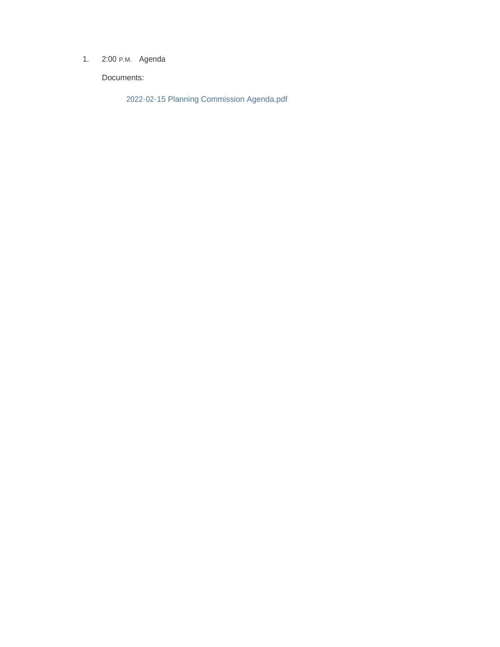1. 2:00 P.M. Agenda

Documents:

2022-02-15 Planning Commission Agenda.pdf